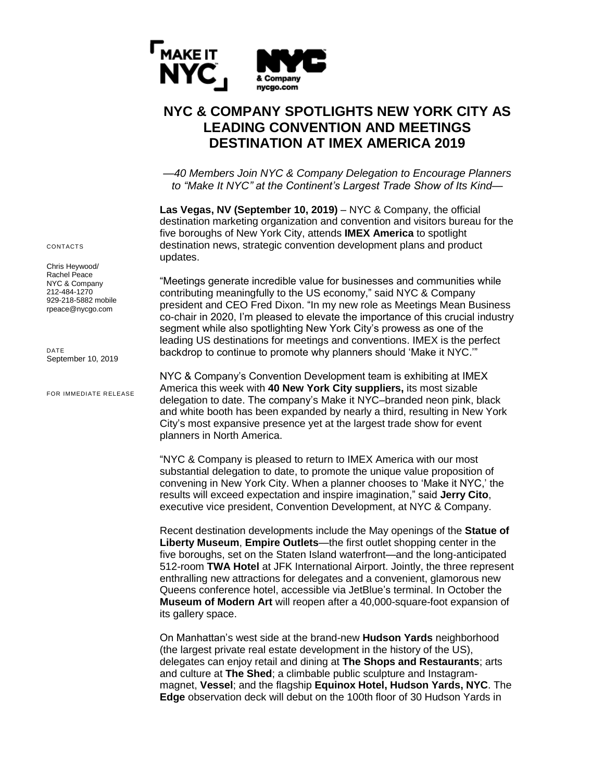

## **NYC & COMPANY SPOTLIGHTS NEW YORK CITY AS LEADING CONVENTION AND MEETINGS DESTINATION AT IMEX AMERICA 2019**

*—40 Members Join NYC & Company Delegation to Encourage Planners to "Make It NYC" at the Continent's Largest Trade Show of Its Kind—*

**Las Vegas, NV (September 10, 2019) – NYC & Company, the official** destination marketing organization and convention and visitors bureau for the five boroughs of New York City, attends **IMEX America** to spotlight destination news, strategic convention development plans and product updates.

"Meetings generate incredible value for businesses and communities while contributing meaningfully to the US economy," said NYC & Company president and CEO Fred Dixon. "In my new role as Meetings Mean Business co-chair in 2020, I'm pleased to elevate the importance of this crucial industry segment while also spotlighting New York City's prowess as one of the leading US destinations for meetings and conventions. IMEX is the perfect backdrop to continue to promote why planners should 'Make it NYC.'"

NYC & Company's Convention Development team is exhibiting at IMEX America this week with **40 New York City suppliers,** its most sizable delegation to date. The company's Make it NYC–branded neon pink, black and white booth has been expanded by nearly a third, resulting in New York City's most expansive presence yet at the largest trade show for event planners in North America.

"NYC & Company is pleased to return to IMEX America with our most substantial delegation to date, to promote the unique value proposition of convening in New York City. When a planner chooses to 'Make it NYC,' the results will exceed expectation and inspire imagination," said **Jerry Cito**, executive vice president, Convention Development, at NYC & Company.

Recent destination developments include the May openings of the **Statue of Liberty Museum**, **Empire Outlets**—the first outlet shopping center in the five boroughs, set on the Staten Island waterfront—and the long-anticipated 512-room **TWA Hotel** at JFK International Airport. Jointly, the three represent enthralling new attractions for delegates and a convenient, glamorous new Queens conference hotel, accessible via JetBlue's terminal. In October the **Museum of Modern Art** will reopen after a 40,000-square-foot expansion of its gallery space.

On Manhattan's west side at the brand-new **Hudson Yards** neighborhood (the largest private real estate development in the history of the US), delegates can enjoy retail and dining at **The Shops and Restaurants**; arts and culture at **The Shed**; a climbable public sculpture and Instagrammagnet, **Vessel**; and the flagship **Equinox Hotel, Hudson Yards, NYC**. The **Edge** observation deck will debut on the 100th floor of 30 Hudson Yards in

CONTACTS

Chris Heywood/ Rachel Peace NYC & Company 212-484-1270 929-218-5882 mobile rpeace@nycgo.com

DATE September 10, 2019

FOR IMMEDIATE RELEASE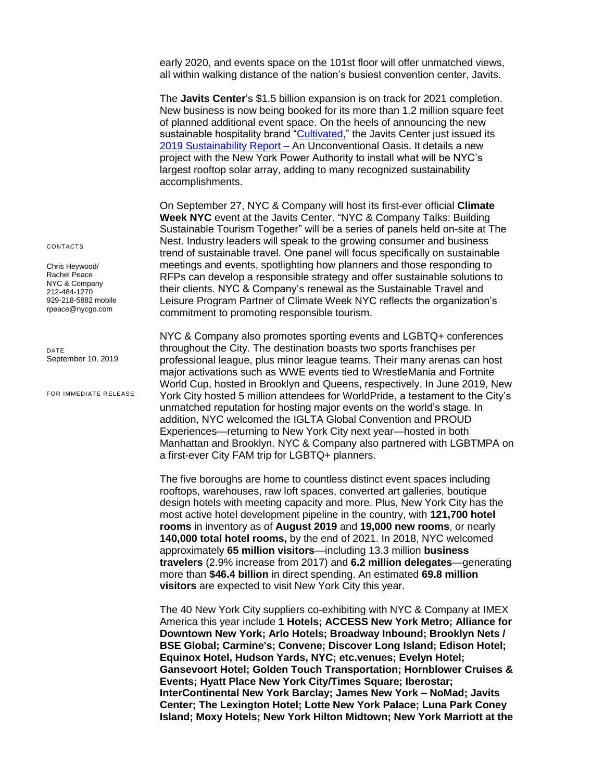early 2020, and events space on the 101st floor will offer unmatched views, all within walking distance of the nation's busiest convention center, Javits.

The **Javits Center**'s \$1.5 billion expansion is on track for 2021 completion. New business is now being booked for its more than 1.2 million square feet of planned additional event space. On the heels of announcing the new sustainable hospitality brand ["Cultivated,](https://www.javitscenter.com/media/120036/cultivated-launch-7-10-19.pdf)" the Javits Center just issued its [2019 Sustainability Report](https://www.javitscenter.com/media/120051/7-17-19-sustainability-report-2019.pdf) - An Unconventional Oasis. It details a new project with the New York Power Authority to install what will be NYC's largest rooftop solar array, adding to many recognized sustainability accomplishments.

On September 27, NYC & Company will host its first-ever official **Climate Week NYC** event at the Javits Center. "NYC & Company Talks: Building Sustainable Tourism Together" will be a series of panels held on-site at The Nest. Industry leaders will speak to the growing consumer and business trend of sustainable travel. One panel will focus specifically on sustainable meetings and events, spotlighting how planners and those responding to RFPs can develop a responsible strategy and offer sustainable solutions to their clients. NYC & Company's renewal as the Sustainable Travel and Leisure Program Partner of Climate Week NYC reflects the organization's commitment to promoting responsible tourism.

NYC & Company also promotes sporting events and LGBTQ+ conferences throughout the City. The destination boasts two sports franchises per professional league, plus minor league teams. Their many arenas can host major activations such as WWE events tied to WrestleMania and Fortnite World Cup, hosted in Brooklyn and Queens, respectively. In June 2019, New York City hosted 5 million attendees for WorldPride, a testament to the City's unmatched reputation for hosting major events on the world's stage. In addition, NYC welcomed the IGLTA Global Convention and PROUD Experiences—returning to New York City next year—hosted in both Manhattan and Brooklyn. NYC & Company also partnered with LGBTMPA on a first-ever City FAM trip for LGBTQ+ planners.

The five boroughs are home to countless distinct event spaces including rooftops, warehouses, raw loft spaces, converted art galleries, boutique design hotels with meeting capacity [and more.](https://business.nycgo.com/press-and-media/resources/whats-new-in-nyc/new-expanded-renovated-event-spaces/) Plus, New York City has the most active hotel development pipeline in the country, with **121,700 hotel rooms** in inventory as of **August 2019** and **19,000 new rooms**, or nearly **140,000 total hotel rooms,** by the end of 2021. In 2018, NYC welcomed approximately **65 million visitors**—including 13.3 million **business travelers** (2.9% increase from 2017) and **6.2 million delegates**—generating more than **\$46.4 billion** in direct spending. An estimated **69.8 million visitors** are expected to visit New York City this year.

The 40 New York City suppliers co-exhibiting with NYC & Company at IMEX America this year include **1 Hotels; ACCESS New York Metro; Alliance for Downtown New York; Arlo Hotels; Broadway Inbound; Brooklyn Nets / BSE Global; Carmine's; Convene; Discover Long Island; Edison Hotel; Equinox Hotel, Hudson Yards, NYC; etc.venues; Evelyn Hotel; Gansevoort Hotel; Golden Touch Transportation; Hornblower Cruises & Events; Hyatt Place New York City/Times Square; Iberostar; InterContinental New York Barclay; James New York – NoMad; Javits Center; The Lexington Hotel; Lotte New York Palace; Luna Park Coney Island; Moxy Hotels; New York Hilton Midtown; New York Marriott at the** 

CONTACTS

Chris Heywood/ Rachel Peace NYC & Company 212-484-1270 929-218-5882 mobile rpeace@nycgo.com

DATE September 10, 2019

FOR IMMEDIATE RELEASE